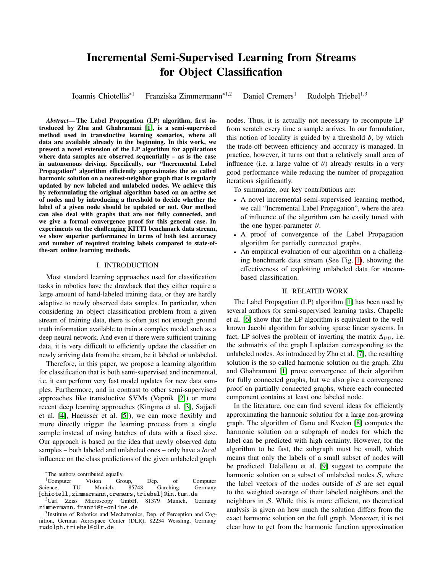# Incremental Semi-Supervised Learning from Streams for Object Classification

Ioannis Chiotellis<sup>∗1</sup> Franziska Zimmermann<sup>∗1,2</sup> Daniel Cremers<sup>1</sup> Rudolph Triebel<sup>1,3</sup>

*Abstract*— The Label Propagation (LP) algorithm, first introduced by Zhu and Ghahramani [\[1\]](#page-6-0), is a semi-supervised method used in transductive learning scenarios, where all data are available already in the beginning. In this work, we present a novel extension of the LP algorithm for applications where data samples are observed sequentially – as is the case in autonomous driving. Specifically, our "Incremental Label Propagation" algorithm efficiently approximates the so called harmonic solution on a nearest-neighbor graph that is regularly updated by new labeled and unlabeled nodes. We achieve this by reformulating the original algorithm based on an active set of nodes and by introducing a threshold to decide whether the label of a given node should be updated or not. Our method can also deal with graphs that are not fully connected, and we give a formal convergence proof for this general case. In experiments on the challenging KITTI benchmark data stream, we show superior performance in terms of both test accuracy and number of required training labels compared to state-ofthe-art online learning methods.

#### I. INTRODUCTION

Most standard learning approaches used for classification tasks in robotics have the drawback that they either require a large amount of hand-labeled training data, or they are hardly adaptive to newly observed data samples. In particular, when considering an object classification problem from a given stream of training data, there is often just not enough ground truth information available to train a complex model such as a deep neural network. And even if there were sufficient training data, it is very difficult to efficiently update the classifier on newly arriving data from the stream, be it labeled or unlabeled.

Therefore, in this paper, we propose a learning algorithm for classification that is both semi-supervised and incremental, i.e. it can perform very fast model updates for new data samples. Furthermore, and in contrast to other semi-supervised approaches like transductive SVMs (Vapnik [\[2\]](#page-6-1)) or more recent deep learning approaches (Kingma et al. [\[3\]](#page-6-2), Sajjadi et al. [\[4\]](#page-6-3), Haeusser et al. [\[5\]](#page-6-4)), we can more flexibly and more directly trigger the learning process from a single sample instead of using batches of data with a fixed size. Our approach is based on the idea that newly observed data samples – both labeled and unlabeled ones – only have a *local* influence on the class predictions of the given unlabeled graph

<sup>∗</sup>The authors contributed equally.

nodes. Thus, it is actually not necessary to recompute LP from scratch every time a sample arrives. In our formulation, this notion of locality is guided by a threshold  $\vartheta$ , by which the trade-off between efficiency and accuracy is managed. In practice, however, it turns out that a relatively small area of influence (i.e. a large value of  $\vartheta$ ) already results in a very good performance while reducing the number of propagation iterations significantly.

To summarize, our key contributions are:

- A novel incremental semi-supervised learning method, we call "Incremental Label Propagation", where the area of influence of the algorithm can be easily tuned with the one hyper-parameter  $\vartheta$ .
- A proof of convergence of the Label Propagation algorithm for partially connected graphs.
- An empirical evaluation of our algorithm on a challenging benchmark data stream (See Fig. [1\)](#page-1-0), showing the effectiveness of exploiting unlabeled data for streambased classification.

# II. RELATED WORK

The Label Propagation (LP) algorithm [\[1\]](#page-6-0) has been used by several authors for semi-supervised learning tasks. Chapelle et al. [\[6\]](#page-6-5) show that the LP algorithm is equivalent to the well known Jacobi algorithm for solving sparse linear systems. In fact, LP solves the problem of inverting the matrix  $\Delta_{UU}$ , i.e. the submatrix of the graph Laplacian corresponding to the unlabeled nodes. As introduced by Zhu et al. [\[7\]](#page-6-6), the resulting solution is the so called harmonic solution on the graph. Zhu and Ghahramani [\[1\]](#page-6-0) prove convergence of their algorithm for fully connected graphs, but we also give a convergence proof on partially connected graphs, where each connected component contains at least one labeled node.

In the literature, one can find several ideas for efficiently approximating the harmonic solution for a large non-growing graph. The algorithm of Ganu and Kveton [\[8\]](#page-6-7) computes the harmonic solution on a subgraph of nodes for which the label can be predicted with high certainty. However, for the algorithm to be fast, the subgraph must be small, which means that only the labels of a small subset of nodes will be predicted. Delalleau et al. [\[9\]](#page-6-8) suggest to compute the harmonic solution on a subset of unlabeled nodes  $S$ , where the label vectors of the nodes outside of  $S$  are set equal to the weighted average of their labeled neighbors and the neighbors in S. While this is more efficient, no theoretical analysis is given on how much the solution differs from the exact harmonic solution on the full graph. Moreover, it is not clear how to get from the harmonic function approximation

<sup>&</sup>lt;sup>1</sup>Computer Vision Group, Dep. of Computer ience. TU Munich. 85748 Garching. Germany Science, TU Munich, 85748 Garching, Germany {chiotell,zimmermann,cremers,triebel}@in.tum.de<br><sup>2</sup>Carl Zeiss Microscopy GmbH, 81379 Munich, G

<sup>&</sup>lt;sup>2</sup>Carl Zeiss Microscopy GmbH, 81379 Munich, Germany zimmermann.franzi@t-online.de

<sup>&</sup>lt;sup>3</sup>Institute of Robotics and Mechatronics, Dep. of Perception and Cognition, German Aerospace Center (DLR), 82234 Wessling, Germany rudolph.triebel@dlr.de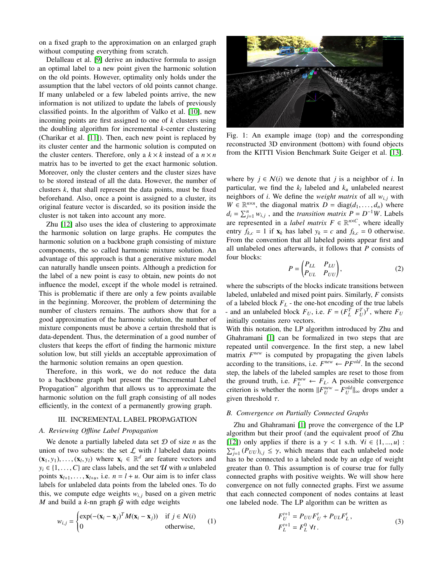on a fixed graph to the approximation on an enlarged graph without computing everything from scratch.

Delalleau et al. [\[9\]](#page-6-8) derive an inductive formula to assign an optimal label to a new point given the harmonic solution on the old points. However, optimality only holds under the assumption that the label vectors of old points cannot change. If many unlabeled or a few labeled points arrive, the new information is not utilized to update the labels of previously classified points. In the algorithm of Valko et al. [\[10\]](#page-6-9), new incoming points are first assigned to one of *k* clusters using the doubling algorithm for incremental *k*-center clustering (Charikar et al. [\[11\]](#page-6-10)). Then, each new point is replaced by its cluster center and the harmonic solution is computed on the cluster centers. Therefore, only a  $k \times k$  instead of a  $n \times n$ matrix has to be inverted to get the exact harmonic solution. Moreover, only the cluster centers and the cluster sizes have to be stored instead of all the data. However, the number of clusters *k*, that shall represent the data points, must be fixed beforehand. Also, once a point is assigned to a cluster, its original feature vector is discarded, so its position inside the cluster is not taken into account any more.

Zhu [\[12\]](#page-6-11) also uses the idea of clustering to approximate the harmonic solution on large graphs. He computes the harmonic solution on a backbone graph consisting of mixture components, the so called harmonic mixture solution. An advantage of this approach is that a generative mixture model can naturally handle unseen points. Although a prediction for the label of a new point is easy to obtain, new points do not influence the model, except if the whole model is retrained. This is problematic if there are only a few points available in the beginning. Moreover, the problem of determining the number of clusters remains. The authors show that for a good approximation of the harmonic solution, the number of mixture components must be above a certain threshold that is data-dependent. Thus, the determination of a good number of clusters that keeps the effort of finding the harmonic mixture solution low, but still yields an acceptable approximation of the harmonic solution remains an open question.

Therefore, in this work, we do not reduce the data to a backbone graph but present the "Incremental Label Propagation" algorithm that allows us to approximate the harmonic solution on the full graph consisting of all nodes efficiently, in the context of a permanently growing graph.

# III. INCREMENTAL LABEL PROPAGATION

# *A. Reviewing O*ffl*ine Label Propagation*

We denote a partially labeled data set  $D$  of size  $n$  as the union of two subsets: the set  $\mathcal L$  with  $l$  labeled data points  $(\mathbf{x}_1, y_1), \dots, (\mathbf{x}_l, y_l)$  where  $\mathbf{x}_i \in \mathbb{R}^d$  are feature vectors and  $y_i \in \{1, \dots, C\}$  are class labels and the set  $\mathcal{U}$  with  $\mu$  unlabeled  $y_i \in \{1, \ldots, C\}$  are class labels, and the set  $U$  with *u* unlabeled points  $\mathbf{x}_{l+1}, \ldots, \mathbf{x}_{l+u}$ , i.e.  $n = l + u$ . Our aim is to infer class labels for unlabeled data points from the labeled ones. To do this, we compute edge weights  $w_{i,j}$  based on a given metric *M* and build a  $k$ -nn graph  $G$  with edge weights

$$
w_{i,j} = \begin{cases} \exp(-(x_i - x_j)^T M (x_i - x_j)) & \text{if } j \in \mathcal{N}(i) \\ 0 & \text{otherwise,} \end{cases}
$$
 (1)

<span id="page-1-0"></span>

Fig. 1: An example image (top) and the corresponding reconstructed 3D environment (bottom) with found objects from the KITTI Vision Benchmark Suite Geiger et al. [\[13\]](#page-6-12).

where by  $j \in \mathcal{N}(i)$  we denote that *j* is a neighbor of *i*. In particular, we find the *k<sup>l</sup>* labeled and *k<sup>u</sup>* unlabeled nearest neighbors of *i*. We define the *weight matrix* of all  $w_{i,j}$  with  $W \in \mathbb{R}^{n \times n}$ , the diagonal matrix  $D = \text{diag}(d_1, \ldots, d_n)$  where  $d_1 - \sum_{i=1}^{n} w_i$ , and the *transition matrix*  $P = D^{-1}W$ . I shels  $d_i = \sum_{j=1}^n w_{i,j}$ , and the *transition matrix*  $P = D^{-1}W$ . Labels are represented in a *label matrix*  $F \in \mathbb{R}^{n \times C}$ , where ideally entry  $f_{k,c} = 1$  if  $\mathbf{x}_k$  has label  $y_k = c$  and  $f_{k,c} = 0$  otherwise. From the convention that all labeled points appear first and all unlabeled ones afterwards, it follows that *P* consists of four blocks:

$$
P = \begin{pmatrix} P_{LL} & P_{LU} \\ P_{UL} & P_{UU} \end{pmatrix},
$$
 (2)

where the subscripts of the blocks indicate transitions between labeled, unlabeled and mixed point pairs. Similarly, *F* consists of a labeled block  $F_L$  - the one-hot encoding of the true labels - and an unlabeled block  $F_U$ , i.e.  $F = (F_L^T F_U^T)^T$ , where  $F_U$ initially contains zero vectors.

With this notation, the LP algorithm introduced by Zhu and Ghahramani [\[1\]](#page-6-0) can be formalized in two steps that are repeated until convergence. In the first step, a new label matrix  $F^{new}$  is computed by propagating the given labels according to the transitions, i.e.  $F^{new} \leftarrow PF^{old}$ . In the second step, the labels of the labeled samples are reset to those from the ground truth, i.e.  $F_L^{new} \leftarrow F_L$ . A possible convergence criterion is whether the norm  $||F_U^{new} - F_U^{old}||_{\infty}$  drops under a given threshold  $\tau$ .

# *B. Convergence on Partially Connected Graphs*

<span id="page-1-1"></span>Zhu and Ghahramani [\[1\]](#page-6-0) prove the convergence of the LP algorithm but their proof (and the equivalent proof of Zhu [\[12\]](#page-6-11)) only applies if there is a  $\gamma$  < 1 s.th.  $\forall i \in \{1, ..., u\}$ :  $\sum_{j=1}^{u} (P_{UU})_{i,j} \leq \gamma$ , which means that each unlabeled node<br>has to be connected to a labeled node by an edge of weight has to be connected to a labeled node by an edge of weight greater than 0. This assumption is of course true for fully connected graphs with positive weights. We will show here convergence on not fully connected graphs. First we assume that each connected component of nodes contains at least one labeled node. The LP algorithm can be written as

$$
F_U^{t+1} = P_{UU} F_U^t + P_{UL} F_L^t,
$$
  
\n
$$
F_L^{t+1} = F_L^0 \ \forall t.
$$
\n(3)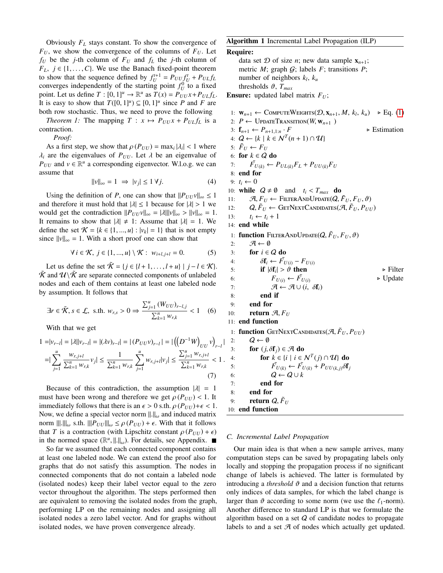Obviously *F<sup>L</sup>* stays constant. To show the convergence of  $F_U$ , we show the convergence of the columns of  $F_U$ . Let  $f_U$  be the *j*-th column of  $F_U$  and  $f_L$  the *j*-th column of  $F_L$ ,  $j \in \{1, \ldots, C\}$ . We use the Banach fixed-point theorem to show that the sequence defined by  $f_U^{t+1} = P_{UU} f_U^t + P_{UL} f_L$ converges independently of the starting point  $f_U^0$  to a fixed point. Let us define  $T : [0, 1]^u \to \mathbb{R}^u$  as  $T(x) = P_{UU}x + P_{UL}f_L$ .<br>It is easy to show that  $T(\{0, 1\}^u) \subset [0, 1]^u$  since *P* and *F* are It is easy to show that  $T([0, 1]^u) \subseteq [0, 1]^u$  since *P* and *F* are both row stochastic. Thus we need to prove the following both row stochastic. Thus, we need to prove the following

*Theorem 1:* The mapping  $T : x \mapsto P_{UU}x + P_{UL}f_L$  is a contraction.

*Proof:*

As a first step, we show that  $\rho(P_{UU}) = \max_i |\lambda_i| < 1$  where  $\lambda_i$  are the eigenvalues of  $P_{UU}$ . Let  $\lambda$  be an eigenvalue of  $P_{UU}$  and  $v \in \mathbb{R}^u$  a corresponding eigenvector. W.l.o.g. we can assume that

$$
||v||_{\infty} = 1 \implies |v_j| \le 1 \,\forall j. \tag{4}
$$

Using the definition of *P*, one can show that  $||P_{UU}v||_{\infty} \leq 1$ and therefore it must hold that  $|\lambda| \leq 1$  because for  $|\lambda| > 1$  we would get the contradiction  $||P_{U|U}v||_{\infty} = |\lambda|||v||_{\infty} > ||v||_{\infty} = 1.$ It remains to show that  $|\lambda| \neq 1$ : Assume that  $|\lambda| = 1$ . We define the set  $\mathcal{K} = \{k \in \{1, ..., u\} : |v_k| = 1\}$  that is not empty since  $||v||_{\infty} = 1$ . With a short proof one can show that

$$
\forall i \in \mathcal{K}, j \in \{1, ..., u\} \setminus \mathcal{K}: w_{i+l, j+l} = 0. \tag{5}
$$

Let us define the set  $\tilde{\mathcal{K}} = \{j \in \{l+1, \ldots, l+u\} \mid j-l \in \mathcal{K}\}.$  $\tilde{\mathcal{K}}$  and  $\mathcal{U}\backslash\tilde{\mathcal{K}}$  are separate connected components of unlabeled nodes and each of them contains at least one labeled node by assumption. It follows that

$$
\exists r \in \tilde{\mathcal{K}}, s \in \mathcal{L}, \text{ s.th. } w_{r,s} > 0 \Rightarrow \frac{\sum_{j=1}^{u} (W_{UU})_{r-l,j}}{\sum_{k=1}^{n} w_{r,k}} < 1 \quad (6)
$$

With that we get

$$
1 = |v_{r-l}| = |\lambda||v_{r-l}| = |(\lambda v)_{r-l}| = |(P_{UU}v)_{r-l}| = |\left(\left(D^{-1}W\right)_{UU}v\right)_{r-l}|
$$
  

$$
= |\sum_{j=1}^{u} \frac{w_{r,j+l}}{\sum_{k=1}^{n} w_{r,k}} v_j| \le \frac{1}{\sum_{k=1}^{n} w_{r,k}} \sum_{j=1}^{u} w_{r,j+l}|v_j| \le \frac{\sum_{j=1}^{u} w_{r,j+l}}{\sum_{k=1}^{n} w_{r,k}} < 1.
$$
  
(7)

Because of this contradiction, the assumption  $|\lambda| = 1$ must have been wrong and therefore we get  $\rho(P_{UU})$  < 1. It immediately follows that there is an  $\epsilon > 0$  s.th.  $\rho(P_{UU})+\epsilon < 1$ . Now, we define a special vector norm  $\|\cdot\|_{\omega}$  and induced matrix norm  $\|\|\cdot\|\|_{\omega}$  s.th.  $\|P_{UU}\|_{\omega} \leq \rho(P_{UU}) + \epsilon$ . With that it follows that *T* is a contraction (with Lipschitz constant  $\rho(P_{UU}) + \epsilon$ ) in the normed space  $(\mathbb{R}^u, ||.||_{\omega})$ . For details, see Appendix.<br>So far we assumed that each connected component contains

So far we assumed that each connected component contains at least one labeled node. We can extend the proof also for graphs that do not satisfy this assumption. The nodes in connected components that do not contain a labeled node (isolated nodes) keep their label vector equal to the zero vector throughout the algorithm. The steps performed then are equivalent to removing the isolated nodes from the graph, performing LP on the remaining nodes and assigning all isolated nodes a zero label vector. And for graphs without isolated nodes, we have proven convergence already.

#### <span id="page-2-0"></span>Algorithm 1 Incremental Label Propagation (ILP)

#### Require:

data set  $D$  of size *n*; new data sample  $\mathbf{x}_{n+1}$ ; metric  $M$ ; graph  $G$ ; labels  $F$ ; transitions  $P$ ; number of neighbors *k<sup>l</sup>* , *k<sup>u</sup>* thresholds  $\vartheta$ ,  $T_{max}$ Ensure: updated label matrix *FU*;

1:  $\mathbf{w}_{n+1} \leftarrow \text{COMPUTEWEIGHTS}(\mathcal{D}, \mathbf{x}_{n+1}, M, k_l, k_u) \geq \text{Eq. (1)}$  $\mathbf{w}_{n+1} \leftarrow \text{COMPUTEWEIGHTS}(\mathcal{D}, \mathbf{x}_{n+1}, M, k_l, k_u) \geq \text{Eq. (1)}$  $\mathbf{w}_{n+1} \leftarrow \text{COMPUTEWEIGHTS}(\mathcal{D}, \mathbf{x}_{n+1}, M, k_l, k_u) \geq \text{Eq. (1)}$ <br>
2:  $P \leftarrow \text{LinearToMATION}(W, \mathbf{w}_{n+1})$ 2:  $P \leftarrow \text{UPDATETRANSTITON}(W, \mathbf{w}_{n+1})$ <br>3:  $\mathbf{f}_{n+1} \leftarrow P_{n+1,1:n} \cdot F$ 3:  $\mathbf{f}_{n+1} \leftarrow P_{n+1,1:n} \cdot F$  > Estimation<br>4:  $Q \leftarrow \{k \mid k \in \mathcal{N}^T(n+1) \cap \mathcal{U}\}\$ 5:  $\tilde{F}_U \leftarrow F_U$ 6: for  $k \in Q$  do 7:  $\tilde{F}_{U(k)} \leftarrow P_{UL(k)} F_L + P_{UU(k)} F_U$ 8: end for 9:  $t_i$  ← 0 10: **while**  $Q \neq \emptyset$  and  $t_i < T_{max}$  **do**<br>11:  $\mathcal{A}, F_{II} \leftarrow$  FILTERANDUPDATE(*Q*, *i* 11:  $\mathcal{A}, F_U \leftarrow$  FILTERANDUPDATE( $Q, \tilde{F}_U, F_U, \vartheta$ )<br>12:  $Q, \tilde{F}_U \leftarrow$  GETNEXTCANDIDATES( $\mathcal{A}, \tilde{F}_U, P_{UU}$ 12:  $Q, \tilde{F}_U \leftarrow \text{GETNextCamIDATES}(\mathcal{A}, \tilde{F}_U, P_{UU})$ <br>13:  $t_i \leftarrow t_i + 1$  $t_i \leftarrow t_i + 1$ 14: end while 1: **function** FILTERANDUPDATE( $Q, \tilde{F}_U, F_U, \vartheta$ )<br>2:  $\mathcal{A} \leftarrow \emptyset$  $\mathcal{A} \leftarrow \emptyset$ 3: for  $i \in Q$  do 4:  $\delta \mathbf{f}_i \leftarrow \vec{F}_{U(i)} - F_{U(i)}$ <br>5: **if**  $|\delta \mathbf{f}_i| > \vartheta$  then 5: **if**  $|\delta \mathbf{f}_i| > \vartheta$  then  $\triangleright$  Filter 6:  $F_{U(i)} \leftarrow \tilde{F}_{U(i)}$   $\rightarrow$  Update  $\pi$   $\rightarrow$  4 U (*i*,  $\delta \mathbf{f}_i$ ) 7:  $\mathcal{A} \leftarrow \mathcal{A} \cup (i, \delta \mathbf{f}_i)$ <br>8: **end if** end if 9: end for 10: **return**  $\mathcal{A}, F_U$ 11: end function 1: **function** GETNEXTCANDIDATES( $\mathcal{A}, \tilde{F}_U, P_{UU}$ )<br>2:  $Q \leftarrow \emptyset$  $Q \leftarrow \emptyset$ 3: **for**  $(j, \delta \mathbf{f}_j) \in \mathcal{A}$  do<br>4: **for**  $k \in \{i \mid i \in \mathcal{J}\}$ 4: for  $k \in \{i \mid i \in \mathcal{N}^T(j) \cap \mathcal{U}\}\)$  do 5:  $\tilde{F}_{U(k)} \leftarrow \tilde{F}_{U(k)} + P_{UU(k,j)} \delta \mathbf{f}_j$ <br>6:  $Q \leftarrow Q \cup k$  $Q \leftarrow Q \cup k$ 7: end for 8: end for 9: **return**  $Q, \tilde{F}_U$ 10: end function

# *C. Incremental Label Propagation*

Our main idea is that when a new sample arrives, many computation steps can be saved by propagating labels only locally and stopping the propagation process if no significant change of labels is achieved. The latter is formulated by introducing a *threshold*  $\vartheta$  and a decision function that returns only indices of data samples, for which the label change is larger than  $\vartheta$  according to some norm (we use the  $\ell_1$ -norm). Another difference to standard LP is that we formulate the algorithm based on a set  $Q$  of candidate nodes to propagate labels to and a set  $A$  of nodes which actually get updated.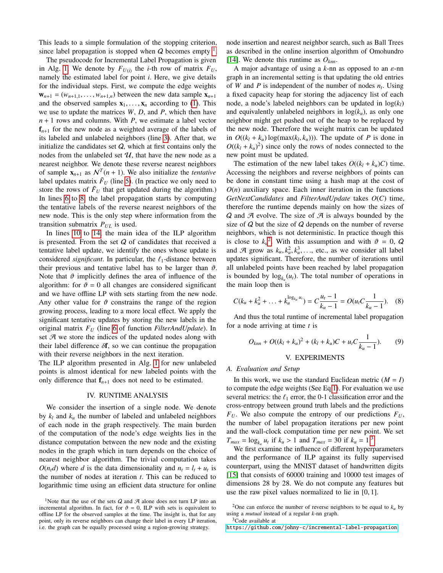This leads to a simple formulation of the stopping criterion, since label propagation is stopped when  $Q$  becomes empty  $\frac{1}{1}$  $\frac{1}{1}$  $\frac{1}{1}$ .

The pseudocode for Incremental Label Propagation is given in Alg. [1.](#page-2-0) We denote by  $F_{U(i)}$  the *i*-th row of matrix  $F_U$ , namely the estimated label for point *i*. Here, we give details for the individual steps. First, we compute the edge weights  **between the new data sample**  $**x**<sub>n+1</sub>$ and the observed samples  $\mathbf{x}_1, \ldots, \mathbf{x}_n$  according to [\(1\)](#page-1-1). This we use to update the matrices *W*, *D*, and *P*, which then have *n* + 1 rows and columns. With *P*, we estimate a label vector  $f_{n+1}$  for the new node as a weighted average of the labels of its labeled and unlabeled neighbors (line [3\)](#page-2-0). After that, we initialize the candidates set  $Q$ , which at first contains only the nodes from the unlabeled set  $U$ , that have the new node as a nearest neighbor. We denote these reverse nearest neighbors of sample  $\mathbf{x}_{n+1}$  as  $\mathcal{N}^T(n+1)$ . We also initialize the *tentative* label updates matrix  $\tilde{F}_U$  (line [5\)](#page-2-0). (In practice we only need to store the rows of  $F<sub>U</sub>$  that get updated during the algorithm.) In lines [6](#page-2-0) to [8,](#page-2-0) the label propagation starts by computing the tentative labels of the reverse nearest neighbors of the new node. This is the only step where information from the transition submatrix  $P_{UL}$  is used.

In lines [10](#page-2-0) to [14,](#page-2-0) the main idea of the ILP algorithm is presented. From the set  $Q$  of candidates that received a tentative label update, we identify the ones whose update is considered *significant*. In particular, the  $\ell_1$ -distance between their previous and tentative label has to be larger than  $\vartheta$ . Note that  $\vartheta$  implicitly defines the area of influence of the algorithm: for  $\vartheta = 0$  all changes are considered significant and we have offline LP with sets starting from the new node. Any other value for  $\vartheta$  constrains the range of the region growing process, leading to a more local effect. We apply the significant tentative updates by storing the new labels in the original matrix *F<sup>U</sup>* (line [6](#page-2-0) of function *FilterAndUpdate*). In set  $A$  we store the indices of the updated nodes along with their label difference  $\delta f$ , so we can continue the propagation with their reverse neighbors in the next iteration.

The ILP algorithm presented in Alg. [1](#page-2-0) for new unlabeled points is almost identical for new labeled points with the only difference that  $f_{n+1}$  does not need to be estimated.

#### IV. RUNTIME ANALYSIS

We consider the insertion of a single node. We denote by  $k_l$  and  $k_u$  the number of labeled and unlabeled neighbors of each node in the graph respectively. The main burden of the computation of the node's edge weights lies in the distance computation between the new node and the existing nodes in the graph which in turn depends on the choice of nearest neighbor algorithm. The trivial computation takes  $O(n_t d)$  where *d* is the data dimensionality and  $n_t = l_t + u_t$  is the number of nodes at iteration *t*. This can be reduced to logarithmic time using an efficient data structure for online node insertion and nearest neighbor search, such as Ball Trees as described in the online insertion algorithm of Omohundro [\[14\]](#page-6-13). We denote this runtime as  $O_{kmn}$ .

A major advantage of using a *<sup>k</sup>*-nn as opposed to an ε-nn graph in an incremental setting is that updating the old entries of *W* and *P* is independent of the number of nodes  $n_t$ . Using a fixed capacity heap for storing the adjacency list of each node, a node's labeled neighbors can be updated in  $log(k_l)$ and equivalently unlabeled neighbors in  $log(k<sub>u</sub>)$ , as only one neighbor might get pushed out of the heap to be replaced by the new node. Therefore the weight matrix can be updated in  $O((k_1 + k_u) \log(\max(k_l, k_u)))$ . The update of *P* is done in  $O((k_1 + k_1)^2)$  since only the rows of nodes connected to the  $O((k_l + k_u)^2)$  since only the rows of nodes connected to the new point must be updated.

The estimation of the new label takes  $O((k_l + k_u)C)$  time. Accessing the neighbors and reverse neighbors of points can be done in constant time using a hash map at the cost of  $O(n)$  auxiliary space. Each inner iteration in the functions *GetNextCandidates* and *FilterAndUpdate* takes *O*(*C*) time, therefore the runtime depends mainly on how the sizes of  $Q$  and  $\mathcal A$  evolve. The size of  $\mathcal A$  is always bounded by the size of  $Q$  but the size of  $Q$  depends on the number of reverse neighbors, which is not deterministic. In practice though this is close to  $k_u^2$  $k_u^2$ . With this assumption and with  $\vartheta = 0$ ,  $Q$ <br>and  $\vartheta$  grow as  $k_k^2 = k^3$  etc. as we consider all label and  $\mathcal{A}$  grow as  $k_u, k_u^2, k_u^3, \ldots$ , etc., as we consider all label<br>undates significant. Therefore, the number of iterations until updates significant. Therefore, the number of iterations until all unlabeled points have been reached by label propagation is bounded by  $log_{k_u}(u_t)$ . The total number of operations in the main loop then is

$$
C(k_{u} + k_{u}^{2} + ... + k_{u}^{\log_{k_{u}} u_{t}}) = C \frac{u_{t} - 1}{k_{u} - 1} = O(u_{t} C \frac{1}{k_{u} - 1}). \quad (8)
$$

And thus the total runtime of incremental label propagation for a node arriving at time *t* is

$$
O_{knn} + O((k_l + k_u)^2 + (k_l + k_u)C + u_l C \frac{1}{k_u - 1}).
$$
 (9)

# V. EXPERIMENTS

*A. Evaluation and Setup*

In this work, we use the standard Euclidean metric  $(M = I)$ to compute the edge weights (See Eq[.1\)](#page-1-1). For evaluation we use several metrics: the  $\ell_1$  error, the 0-1 classification error and the cross-entropy between ground truth labels and the predictions  $F_U$ . We also compute the entropy of our predictions  $F_U$ , the number of label propagation iterations per new point and the wall-clock computation time per new point. We set  $T_{max} = \log_{k_u} u_t$  if  $k_u > 1$  and  $T_{max} = 30$  $T_{max} = 30$  $T_{max} = 30$  if  $k_u = 1.3$ <br>We first examine the influence of different hyper-

We first examine the influence of different hyperparameters and the performance of ILP against its fully supervised counterpart, using the MNIST dataset of handwritten digits [\[15\]](#page-6-14) that consists of 60000 training and 10000 test images of dimensions 28 by 28. We do not compute any features but use the raw pixel values normalized to lie in [0, 1].

<span id="page-3-0"></span><sup>&</sup>lt;sup>1</sup>Note that the use of the sets *Q* and *A* alone does not turn LP into an incremental algorithm. In fact, for  $\vartheta = 0$ , ILP with sets is equivalent to incremental algorithm. In fact, for  $\vartheta = 0$ , ILP with sets is equivalent to offline LP for the observed samples at the time. The insight is, that for any point, only its reverse neighbors can change their label in every LP iteration, i.e. the graph can be equally processed using a region-growing strategy.

<span id="page-3-1"></span><sup>&</sup>lt;sup>2</sup>One can enforce the number of reverse neighbors to be equal to  $k<sub>u</sub>$  by using a *mutual* instead of a regular *k*-nn graph.

<span id="page-3-2"></span><sup>&</sup>lt;sup>3</sup>Code available at

<https://github.com/johny-c/incremental-label-propagation>.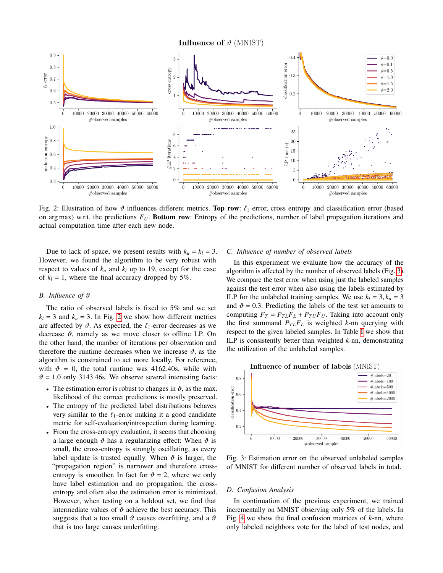**Influence of**  $\vartheta$  (MNIST)

<span id="page-4-0"></span>

Fig. 2: Illustration of how  $\vartheta$  influences different metrics. Top row:  $\ell_1$  error, cross entropy and classification error (based on arg max) w.r.t. the predictions *FU*. Bottom row: Entropy of the predictions, number of label propagation iterations and actual computation time after each new node.

Due to lack of space, we present results with  $k_u = k_l = 3$ . However, we found the algorithm to be very robust with respect to values of  $k_u$  and  $k_l$  up to 19, except for the case of  $k_l = 1$ , where the final accuracy dropped by 5%.

# *B. Influence of* ϑ

The ratio of observed labels is fixed to 5% and we set  $k_l$  = 3 and  $k_u$  = 3. In Fig. [2](#page-4-0) we show how different metrics are affected by  $\vartheta$ . As expected, the  $\ell_1$ -error decreases as we decrease  $\vartheta$ , namely as we move closer to offline LP. On the other hand, the number of iterations per observation and therefore the runtime decreases when we increase  $\vartheta$ , as the algorithm is constrained to act more locally. For reference, with  $\vartheta = 0$ , the total runtime was 4162.40s, while with  $\vartheta$  = 1.0 only 3143.46s. We observe several interesting facts:

- The estimation error is robust to changes in  $\vartheta$ , as the max. likelihood of the correct predictions is mostly preserved.
- The entropy of the predicted label distributions behaves very similar to the  $\ell_1$ -error making it a good candidate metric for self-evaluation/introspection during learning.
- From the cross-entropy evaluation, it seems that choosing a large enough  $\vartheta$  has a regularizing effect: When  $\vartheta$  is small, the cross-entropy is strongly oscillating, as every label update is trusted equally. When  $\vartheta$  is larger, the "propagation region" is narrower and therefore crossentropy is smoother. In fact for  $\vartheta = 2$ , where we only have label estimation and no propagation, the crossentropy and often also the estimation error is minimized. However, when testing on a holdout set, we find that intermediate values of  $\vartheta$  achieve the best accuracy. This suggests that a too small  $\vartheta$  causes overfitting, and a  $\vartheta$ that is too large causes underfitting.

# *C. Influence of number of observed labels*

In this experiment we evaluate how the accuracy of the algorithm is affected by the number of observed labels (Fig. [3\)](#page-4-1). We compare the test error when using just the labeled samples against the test error when also using the labels estimated by ILP for the unlabeled training samples. We use  $k_l = 3$ ,  $k_u = 3$ and  $\vartheta = 0.3$ . Predicting the labels of the test set amounts to computing  $F_T = P_{TL}F_L + P_{TU}F_U$ . Taking into account only the first summand  $P_{TL}F_L$  is weighted *k*-nn querying with respect to the given labeled samples. In Table [I](#page-5-0) we show that ILP is consistently better than weighted *k*-nn, demonstrating the utilization of the unlabeled samples.

<span id="page-4-1"></span>

Fig. 3: Estimation error on the observed unlabeled samples of MNIST for different number of observed labels in total.

## *D. Confusion Analysis*

In continuation of the previous experiment, we trained incrementally on MNIST observing only 5% of the labels. In Fig. [4](#page-5-1) we show the final confusion matrices of *k*-nn, where only labeled neighbors vote for the label of test nodes, and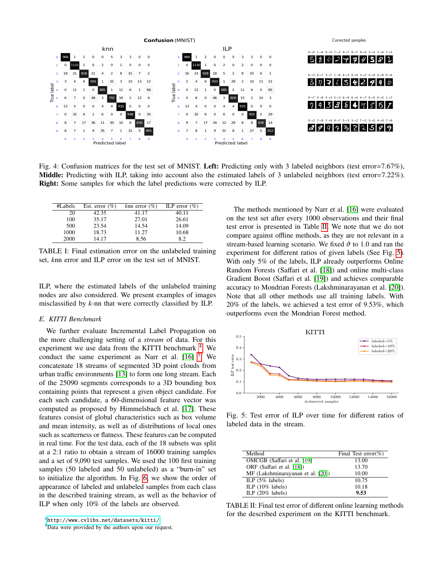<span id="page-5-1"></span>

Fig. 4: Confusion matrices for the test set of MNIST. Left: Predicting only with 3 labeled neighbors (test error=7.67%), Middle: Predicting with ILP, taking into account also the estimated labels of 3 unlabeled neighbors (test error=7.22%). Right: Some samples for which the label predictions were corrected by ILP.

<span id="page-5-0"></span>

| #Labels | Est. error $(\% )$ | knn error $(\% )$ | ILP error $(\% )$ |
|---------|--------------------|-------------------|-------------------|
| 20      | 42.35              | 41.17             | 40.11             |
| 100     | 35.17              | 27.01             | 26.61             |
| 500     | 23.54              | 14.54             | 14.09             |
| 1000    | 18.73              | 11.27             | 10.68             |
| 2000    | 14.17              | 8.56              | 82                |

TABLE I: Final estimation error on the unlabeled training set, *k*nn error and ILP error on the test set of MNIST.

ILP, where the estimated labels of the unlabeled training nodes are also considered. We present examples of images misclassified by *k*-nn that were correctly classified by ILP.

## *E. KITTI Benchmark*

We further evaluate Incremental Label Propagation on the more challenging setting of a *stream* of data. For this experiment we use data from the KITTI benchmark <sup>[4](#page-5-2)</sup>. We conduct the same experiment as Narr et al.  $[16]$ <sup>[5](#page-5-3)</sup>. We concatenate 18 streams of segmented 3D point clouds from urban traffic environments [\[13\]](#page-6-12) to form one long stream. Each of the 25090 segments corresponds to a 3D bounding box containing points that represent a given object candidate. For each such candidate, a 60-dimensional feature vector was computed as proposed by Himmelsbach et al. [\[17\]](#page-6-16). These features consist of global characteristics such as box volume and mean intensity, as well as of distributions of local ones such as scatterness or flatness. These features can be computed in real time. For the test data, each of the 18 subsets was split at a 2:1 ratio to obtain a stream of 16000 training samples and a set of 9,090 test samples. We used the 100 first training samples (50 labeled and 50 unlabeled) as a "burn-in" set to initialize the algorithm. In Fig. [6,](#page-6-17) we show the order of appearance of labeled and unlabeled samples from each class in the described training stream, as well as the behavior of ILP when only 10% of the labels are observed.

The methods mentioned by Narr et al. [\[16\]](#page-6-15) were evaluated on the test set after every 1000 observations and their final test error is presented in Table [II.](#page-5-4) We note that we do not compare against offline methods, as they are not relevant in a stream-based learning scenario. We fixed  $\vartheta$  to 1.0 and ran the experiment for different ratios of given labels (See Fig. [5\)](#page-5-5). With only 5% of the labels, ILP already outperforms Online Random Forests (Saffari et al. [\[18\]](#page-6-18)) and online multi-class Gradient Boost (Saffari et al. [\[19\]](#page-6-19)) and achieves comparable accuracy to Mondrian Forests (Lakshminarayanan et al. [\[20\]](#page-6-20)). Note that all other methods use all training labels. With 20% of the labels, we achieved a test error of 9.53%, which outperforms even the Mondrian Forest method.

<span id="page-5-5"></span>

Fig. 5: Test error of ILP over time for different ratios of labeled data in the stream.

<span id="page-5-4"></span>

| Method                            | Final Test error(%) |
|-----------------------------------|---------------------|
| OMCGB (Saffari et al. [19]        | 13.00               |
| ORF (Saffari et al. [18])         | 13.70               |
| MF (Lakshminarayanan et al. [20]) | 10.00               |
| ILP $(5\%$ labels)                | 10.75               |
| ILP $(10\%$ labels)               | 10.18               |
| ILP $(20\%$ labels)               | 9.53                |

TABLE II: Final test error of different online learning methods for the described experiment on the KITTI benchmark.

<span id="page-5-2"></span><sup>4</sup><http://www.cvlibs.net/datasets/kitti/>

<span id="page-5-3"></span><sup>&</sup>lt;sup>5</sup>Data were provided by the authors upon our request.